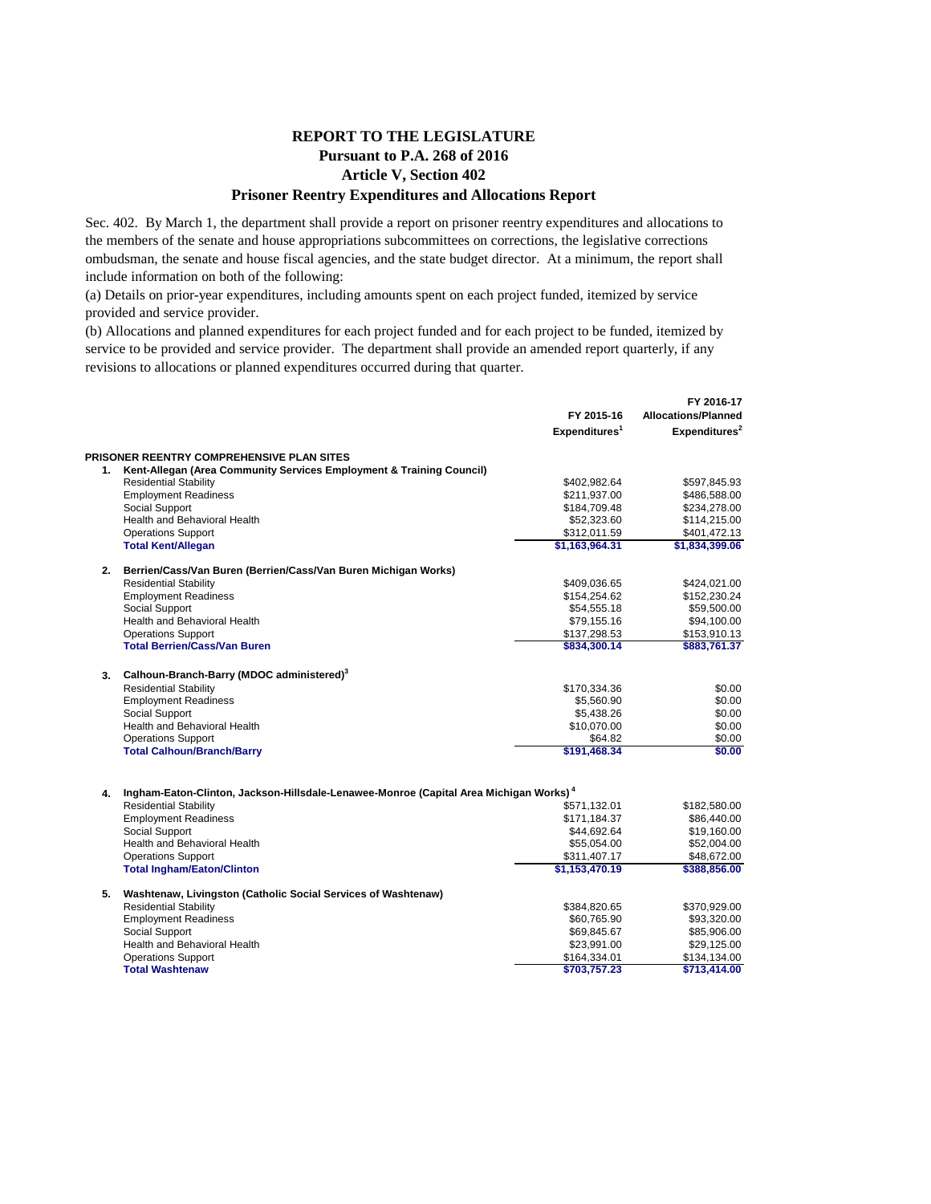## **REPORT TO THE LEGISLATURE Pursuant to P.A. 268 of 2016 Article V, Section 402 Prisoner Reentry Expenditures and Allocations Report**

Sec. 402. By March 1, the department shall provide a report on prisoner reentry expenditures and allocations to the members of the senate and house appropriations subcommittees on corrections, the legislative corrections ombudsman, the senate and house fiscal agencies, and the state budget director. At a minimum, the report shall include information on both of the following:

(a) Details on prior-year expenditures, including amounts spent on each project funded, itemized by service provided and service provider.

(b) Allocations and planned expenditures for each project funded and for each project to be funded, itemized by service to be provided and service provider. The department shall provide an amended report quarterly, if any revisions to allocations or planned expenditures occurred during that quarter.

|    |                                                                                                                                   | FY 2015-16<br>Expenditures <sup>1</sup> | FY 2016-17<br><b>Allocations/Planned</b><br>Expenditures <sup>2</sup> |
|----|-----------------------------------------------------------------------------------------------------------------------------------|-----------------------------------------|-----------------------------------------------------------------------|
|    | PRISONER REENTRY COMPREHENSIVE PLAN SITES                                                                                         |                                         |                                                                       |
| 1. | Kent-Allegan (Area Community Services Employment & Training Council)                                                              |                                         |                                                                       |
|    | <b>Residential Stability</b>                                                                                                      | \$402,982.64                            | \$597,845.93                                                          |
|    | <b>Employment Readiness</b>                                                                                                       | \$211,937.00                            | \$486,588.00                                                          |
|    | Social Support                                                                                                                    | \$184,709.48                            | \$234,278.00                                                          |
|    | Health and Behavioral Health                                                                                                      | \$52,323.60                             | \$114,215.00                                                          |
|    | <b>Operations Support</b>                                                                                                         | \$312,011.59                            | \$401,472.13                                                          |
|    | <b>Total Kent/Allegan</b>                                                                                                         | \$1,163,964.31                          | \$1,834,399.06                                                        |
| 2. | Berrien/Cass/Van Buren (Berrien/Cass/Van Buren Michigan Works)                                                                    |                                         |                                                                       |
|    | <b>Residential Stability</b>                                                                                                      | \$409,036.65                            | \$424,021.00                                                          |
|    | <b>Employment Readiness</b>                                                                                                       | \$154,254.62                            | \$152,230.24                                                          |
|    | Social Support                                                                                                                    | \$54.555.18                             | \$59,500.00                                                           |
|    | Health and Behavioral Health                                                                                                      | \$79,155.16                             | \$94,100.00                                                           |
|    | <b>Operations Support</b>                                                                                                         | \$137,298.53                            | \$153,910.13                                                          |
|    | <b>Total Berrien/Cass/Van Buren</b>                                                                                               | \$834,300.14                            | \$883,761.37                                                          |
| 3. | Calhoun-Branch-Barry (MDOC administered) <sup>3</sup>                                                                             |                                         |                                                                       |
|    | <b>Residential Stability</b>                                                                                                      | \$170,334.36                            | \$0.00                                                                |
|    | <b>Employment Readiness</b>                                                                                                       | \$5,560.90                              | \$0.00                                                                |
|    | Social Support                                                                                                                    | \$5,438.26                              | \$0.00                                                                |
|    | Health and Behavioral Health                                                                                                      | \$10,070.00                             | \$0.00                                                                |
|    | <b>Operations Support</b>                                                                                                         | \$64.82                                 | \$0.00                                                                |
|    | <b>Total Calhoun/Branch/Barry</b>                                                                                                 | \$191,468.34                            | \$0.00                                                                |
|    |                                                                                                                                   |                                         |                                                                       |
| 4. | Ingham-Eaton-Clinton, Jackson-Hillsdale-Lenawee-Monroe (Capital Area Michigan Works) <sup>4</sup><br><b>Residential Stability</b> |                                         |                                                                       |
|    | <b>Employment Readiness</b>                                                                                                       | \$571,132.01<br>\$171,184.37            | \$182,580.00<br>\$86,440.00                                           |
|    | Social Support                                                                                                                    | \$44,692.64                             | \$19,160.00                                                           |
|    | Health and Behavioral Health                                                                                                      | \$55,054.00                             | \$52,004.00                                                           |
|    | <b>Operations Support</b>                                                                                                         | \$311,407.17                            | \$48,672.00                                                           |
|    | <b>Total Ingham/Eaton/Clinton</b>                                                                                                 | \$1,153,470.19                          | \$388,856.00                                                          |
| 5. | Washtenaw, Livingston (Catholic Social Services of Washtenaw)                                                                     |                                         |                                                                       |
|    | <b>Residential Stability</b>                                                                                                      | \$384,820.65                            | \$370,929.00                                                          |
|    | <b>Employment Readiness</b>                                                                                                       | \$60,765.90                             | \$93,320.00                                                           |
|    | Social Support                                                                                                                    | \$69,845.67                             | \$85,906.00                                                           |
|    | Health and Behavioral Health                                                                                                      | \$23,991.00                             | \$29,125.00                                                           |
|    | <b>Operations Support</b>                                                                                                         | \$164,334.01                            | \$134,134.00                                                          |
|    | <b>Total Washtenaw</b>                                                                                                            | \$703,757.23                            | \$713,414.00                                                          |
|    |                                                                                                                                   |                                         |                                                                       |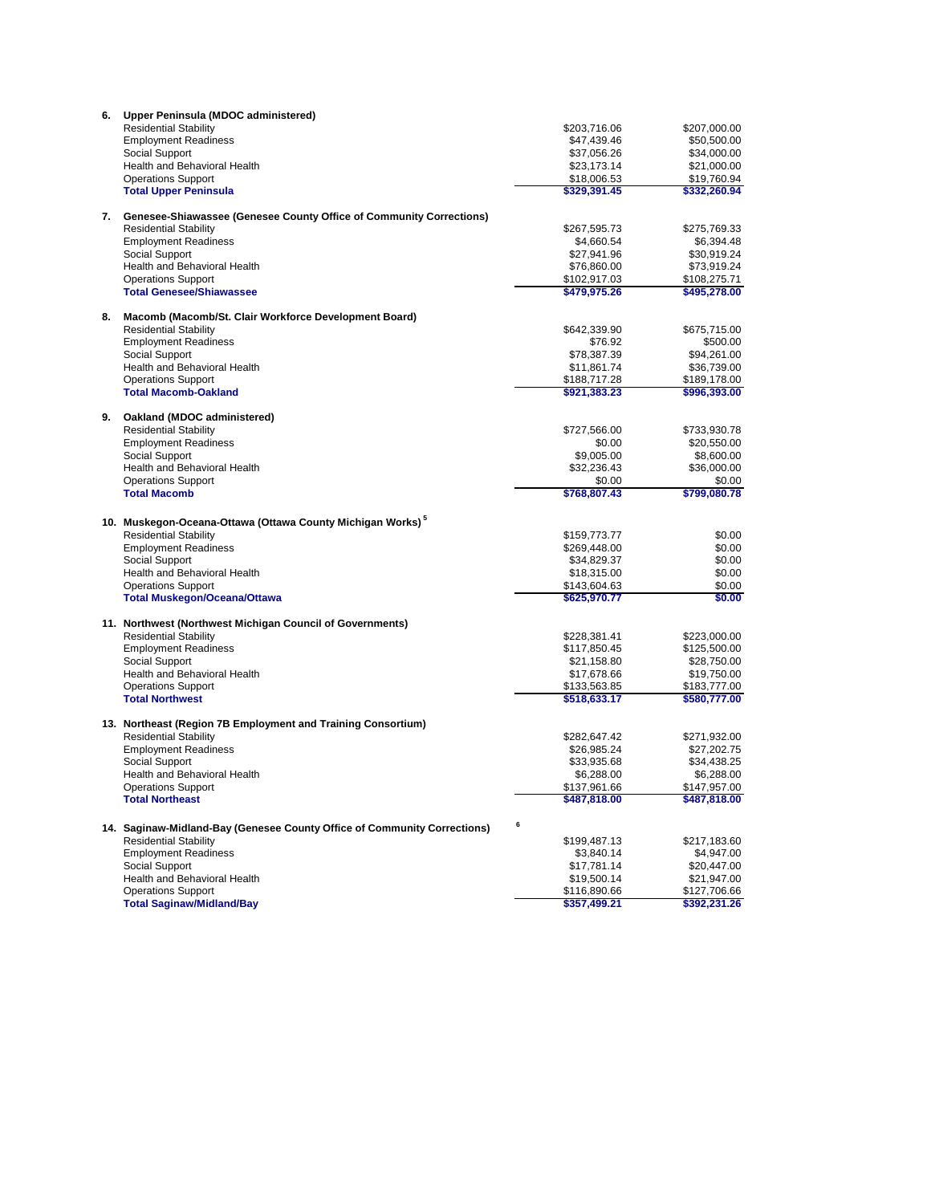| 6. | Upper Peninsula (MDOC administered)                                                                      |                      |                           |
|----|----------------------------------------------------------------------------------------------------------|----------------------|---------------------------|
|    | <b>Residential Stability</b>                                                                             | \$203,716.06         | \$207,000.00              |
|    | <b>Employment Readiness</b>                                                                              | \$47,439.46          | \$50,500.00               |
|    | Social Support                                                                                           | \$37,056.26          | \$34,000.00               |
|    | Health and Behavioral Health                                                                             | \$23,173.14          | \$21,000.00               |
|    | <b>Operations Support</b>                                                                                | \$18,006.53          | \$19,760.94               |
|    | <b>Total Upper Peninsula</b>                                                                             | \$329,391.45         | \$332,260.94              |
| 7. | Genesee-Shiawassee (Genesee County Office of Community Corrections)                                      |                      |                           |
|    | <b>Residential Stability</b>                                                                             | \$267,595.73         | \$275,769.33              |
|    | <b>Employment Readiness</b>                                                                              | \$4,660.54           | \$6,394.48                |
|    | Social Support                                                                                           | \$27,941.96          | \$30,919.24               |
|    | Health and Behavioral Health                                                                             | \$76,860.00          | \$73,919.24               |
|    | <b>Operations Support</b>                                                                                | \$102,917.03         | \$108,275.71              |
|    | <b>Total Genesee/Shiawassee</b>                                                                          | \$479,975.26         | \$495,278.00              |
| 8. | Macomb (Macomb/St. Clair Workforce Development Board)                                                    |                      |                           |
|    | <b>Residential Stability</b>                                                                             | \$642,339.90         | \$675,715.00              |
|    | <b>Employment Readiness</b>                                                                              | \$76.92              | \$500.00                  |
|    | Social Support                                                                                           | \$78,387.39          | \$94,261.00               |
|    | Health and Behavioral Health                                                                             | \$11,861.74          | \$36,739.00               |
|    | <b>Operations Support</b>                                                                                | \$188,717.28         | \$189,178.00              |
|    | <b>Total Macomb-Oakland</b>                                                                              | \$921,383.23         | \$996,393.00              |
|    |                                                                                                          |                      |                           |
|    | 9. Oakland (MDOC administered)                                                                           |                      |                           |
|    | <b>Residential Stability</b>                                                                             | \$727,566.00         | \$733,930.78              |
|    | <b>Employment Readiness</b><br>Social Support                                                            | \$0.00<br>\$9,005.00 | \$20,550.00<br>\$8,600.00 |
|    | Health and Behavioral Health                                                                             | \$32,236.43          | \$36,000.00               |
|    | <b>Operations Support</b>                                                                                | \$0.00               | \$0.00                    |
|    | <b>Total Macomb</b>                                                                                      | \$768,807.43         | \$799,080,78              |
|    |                                                                                                          |                      |                           |
|    | 10. Muskegon-Oceana-Ottawa (Ottawa County Michigan Works) <sup>5</sup>                                   |                      |                           |
|    | <b>Residential Stability</b>                                                                             | \$159,773.77         | \$0.00                    |
|    | <b>Employment Readiness</b>                                                                              | \$269,448.00         | \$0.00                    |
|    | Social Support                                                                                           | \$34,829.37          | \$0.00                    |
|    | Health and Behavioral Health                                                                             | \$18,315.00          | \$0.00                    |
|    | <b>Operations Support</b>                                                                                | \$143,604.63         | \$0.00                    |
|    | <b>Total Muskegon/Oceana/Ottawa</b>                                                                      | \$625,970.77         | \$0.00                    |
|    | 11. Northwest (Northwest Michigan Council of Governments)                                                |                      |                           |
|    | <b>Residential Stability</b>                                                                             | \$228,381.41         | \$223,000.00              |
|    | <b>Employment Readiness</b>                                                                              | \$117,850.45         | \$125,500.00              |
|    | Social Support                                                                                           | \$21,158.80          | \$28,750.00               |
|    | Health and Behavioral Health                                                                             | \$17,678.66          | \$19,750.00               |
|    | <b>Operations Support</b>                                                                                | \$133,563.85         | \$183,777.00              |
|    | <b>Total Northwest</b>                                                                                   | \$518,633.17         | \$580,777.00              |
|    | 13. Northeast (Region 7B Employment and Training Consortium)                                             |                      |                           |
|    | <b>Residential Stability</b>                                                                             | \$282,647.42         | \$271,932.00              |
|    | <b>Employment Readiness</b>                                                                              | \$26,985.24          | \$27,202.75               |
|    | Social Support                                                                                           | \$33,935.68          | \$34,438.25               |
|    | Health and Behavioral Health                                                                             | \$6,288.00           | \$6,288.00                |
|    | <b>Operations Support</b>                                                                                | \$137,961.66         | \$147,957.00              |
|    | <b>Total Northeast</b>                                                                                   | \$487,818.00         | \$487,818.00              |
|    |                                                                                                          | 6                    |                           |
|    | 14. Saginaw-Midland-Bay (Genesee County Office of Community Corrections)<br><b>Residential Stability</b> | \$199,487.13         | \$217,183.60              |
|    | <b>Employment Readiness</b>                                                                              | \$3,840.14           | \$4,947.00                |
|    | Social Support                                                                                           | \$17,781.14          | \$20,447.00               |
|    | Health and Behavioral Health                                                                             | \$19,500.14          | \$21,947.00               |
|    | <b>Operations Support</b>                                                                                | \$116,890.66         | \$127,706.66              |
|    | <b>Total Saginaw/Midland/Bay</b>                                                                         | \$357,499.21         | \$392,231.26              |
|    |                                                                                                          |                      |                           |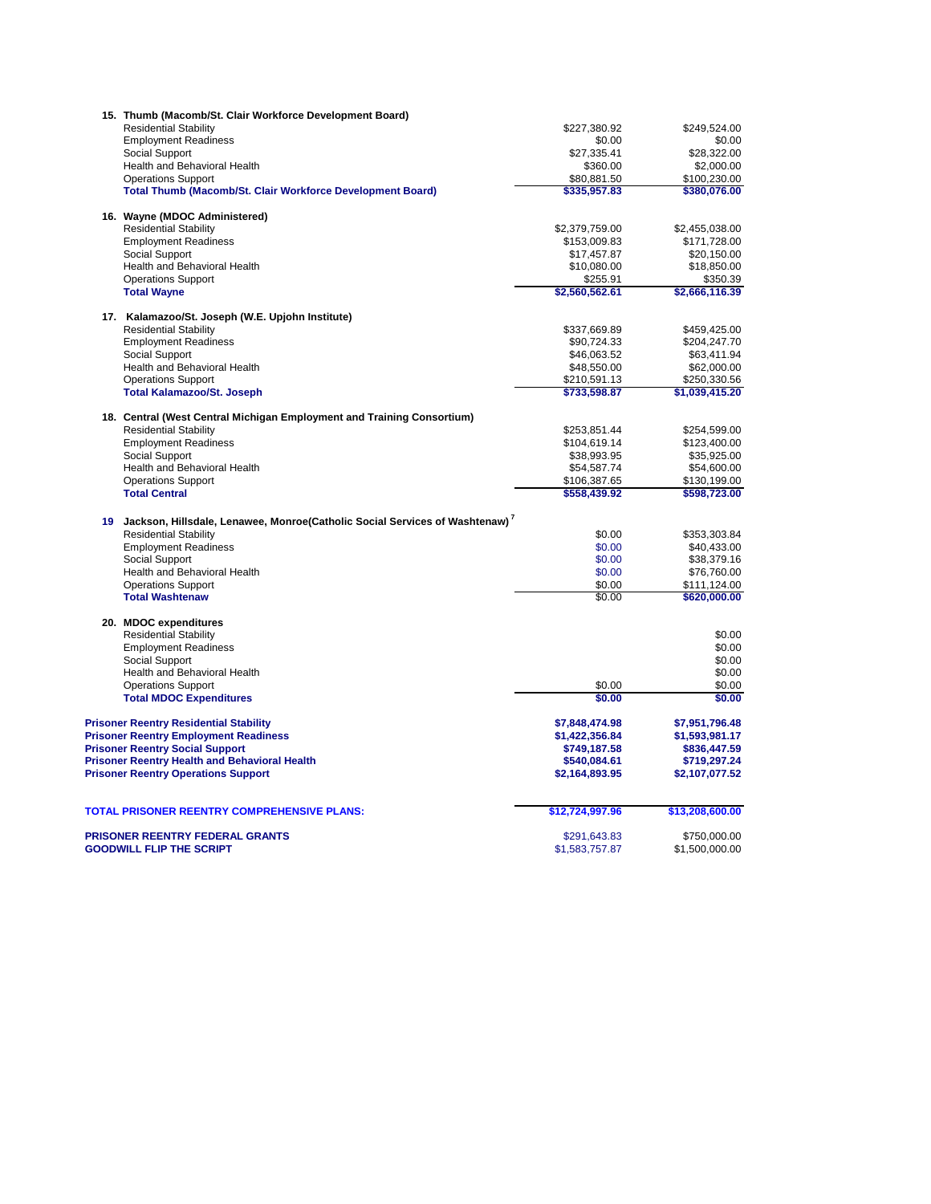|  | 15. Thumb (Macomb/St. Clair Workforce Development Board)                      |                  |                            |
|--|-------------------------------------------------------------------------------|------------------|----------------------------|
|  | <b>Residential Stability</b>                                                  | \$227,380.92     | \$249,524.00               |
|  | <b>Employment Readiness</b>                                                   | \$0.00           | \$0.00                     |
|  | Social Support                                                                | \$27,335.41      | \$28,322.00                |
|  | Health and Behavioral Health                                                  | \$360.00         | \$2,000.00                 |
|  | <b>Operations Support</b>                                                     | \$80,881.50      | \$100,230.00               |
|  | <b>Total Thumb (Macomb/St. Clair Workforce Development Board)</b>             | \$335,957.83     | \$380,076.00               |
|  | 16. Wayne (MDOC Administered)                                                 |                  |                            |
|  | <b>Residential Stability</b>                                                  | \$2,379,759.00   | \$2,455,038.00             |
|  | <b>Employment Readiness</b>                                                   | \$153,009.83     | \$171,728.00               |
|  | Social Support                                                                | \$17,457.87      | \$20,150.00                |
|  | Health and Behavioral Health                                                  | \$10,080.00      | \$18,850.00                |
|  | <b>Operations Support</b>                                                     | \$255.91         |                            |
|  | <b>Total Wayne</b>                                                            | \$2,560,562.61   | \$350.39<br>\$2,666,116.39 |
|  | 17. Kalamazoo/St. Joseph (W.E. Upjohn Institute)                              |                  |                            |
|  | <b>Residential Stability</b>                                                  | \$337,669.89     | \$459,425.00               |
|  |                                                                               |                  |                            |
|  | <b>Employment Readiness</b>                                                   | \$90,724.33      | \$204,247.70               |
|  | Social Support                                                                | \$46,063.52      | \$63,411.94                |
|  | Health and Behavioral Health                                                  | \$48,550.00      | \$62,000.00                |
|  | <b>Operations Support</b>                                                     | \$210,591.13     | \$250,330.56               |
|  | <b>Total Kalamazoo/St. Joseph</b>                                             | \$733,598.87     | \$1,039,415.20             |
|  | 18. Central (West Central Michigan Employment and Training Consortium)        |                  |                            |
|  | <b>Residential Stability</b>                                                  | \$253,851.44     | \$254,599.00               |
|  | <b>Employment Readiness</b>                                                   | \$104,619.14     | \$123,400.00               |
|  | Social Support                                                                | \$38,993.95      | \$35,925.00                |
|  | Health and Behavioral Health                                                  | \$54,587.74      | \$54,600.00                |
|  | <b>Operations Support</b>                                                     | \$106,387.65     | \$130,199.00               |
|  | <b>Total Central</b>                                                          | \$558,439.92     | \$598,723.00               |
|  | 19 Jackson, Hillsdale, Lenawee, Monroe(Catholic Social Services of Washtenaw) |                  |                            |
|  | <b>Residential Stability</b>                                                  | \$0.00           | \$353,303.84               |
|  | <b>Employment Readiness</b>                                                   | \$0.00           | \$40,433.00                |
|  | Social Support                                                                | \$0.00           | \$38,379.16                |
|  | Health and Behavioral Health                                                  | \$0.00           | \$76,760.00                |
|  | <b>Operations Support</b>                                                     | \$0.00           | \$111,124.00               |
|  | <b>Total Washtenaw</b>                                                        | \$0.00           | \$620,000.00               |
|  | 20. MDOC expenditures                                                         |                  |                            |
|  | <b>Residential Stability</b>                                                  |                  | \$0.00                     |
|  | <b>Employment Readiness</b>                                                   |                  | \$0.00                     |
|  | Social Support                                                                |                  | \$0.00                     |
|  |                                                                               |                  |                            |
|  | Health and Behavioral Health                                                  |                  | \$0.00                     |
|  | <b>Operations Support</b><br><b>Total MDOC Expenditures</b>                   | \$0.00<br>\$0.00 | \$0.00<br>\$0.00           |
|  |                                                                               |                  |                            |
|  | <b>Prisoner Reentry Residential Stability</b>                                 | \$7,848,474.98   | \$7,951,796.48             |
|  | <b>Prisoner Reentry Employment Readiness</b>                                  | \$1,422,356.84   | \$1,593,981.17             |
|  | <b>Prisoner Reentry Social Support</b>                                        | \$749,187.58     | \$836,447.59               |
|  | <b>Prisoner Reentry Health and Behavioral Health</b>                          | \$540,084.61     | \$719,297.24               |
|  | <b>Prisoner Reentry Operations Support</b>                                    | \$2,164,893.95   | \$2,107,077.52             |
|  | TOTAL PRISONER REENTRY COMPREHENSIVE PLANS:                                   | \$12,724,997.96  | \$13,208,600.00            |
|  |                                                                               |                  |                            |
|  | PRISONER REENTRY FEDERAL GRANTS                                               | \$291,643.83     | \$750,000.00               |
|  | <b>GOODWILL FLIP THE SCRIPT</b>                                               | \$1,583,757.87   | \$1,500,000.00             |
|  |                                                                               |                  |                            |